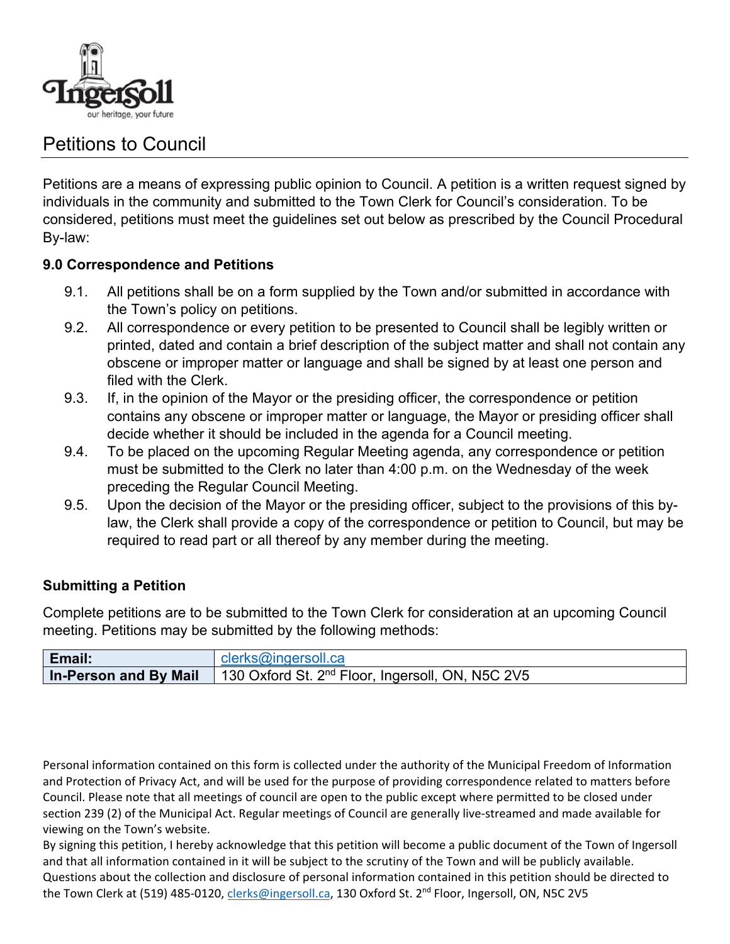

# Petitions to Council

Petitions are a means of expressing public opinion to Council. A petition is a written request signed by individuals in the community and submitted to the Town Clerk for Council's consideration. To be considered, petitions must meet the guidelines set out below as prescribed by the Council Procedural By-law:

### **9.0 Correspondence and Petitions**

- 9.1. All petitions shall be on a form supplied by the Town and/or submitted in accordance with the Town's policy on petitions.
- 9.2. All correspondence or every petition to be presented to Council shall be legibly written or printed, dated and contain a brief description of the subject matter and shall not contain any obscene or improper matter or language and shall be signed by at least one person and filed with the Clerk.
- 9.3. If, in the opinion of the Mayor or the presiding officer, the correspondence or petition contains any obscene or improper matter or language, the Mayor or presiding officer shall decide whether it should be included in the agenda for a Council meeting.
- 9.4. To be placed on the upcoming Regular Meeting agenda, any correspondence or petition must be submitted to the Clerk no later than 4:00 p.m. on the Wednesday of the week preceding the Regular Council Meeting.
- 9.5. Upon the decision of the Mayor or the presiding officer, subject to the provisions of this bylaw, the Clerk shall provide a copy of the correspondence or petition to Council, but may be required to read part or all thereof by any member during the meeting.

## **Submitting a Petition**

Complete petitions are to be submitted to the Town Clerk for consideration at an upcoming Council meeting. Petitions may be submitted by the following methods:

| Email: | clerks@ingersoll.ca                                                                                |
|--------|----------------------------------------------------------------------------------------------------|
|        | $\vert$ In-Person and By Mail $\vert$ 130 Oxford St. 2 <sup>nd</sup> Floor, Ingersoll, ON, N5C 2V5 |

Personal information contained on this form is collected under the authority of the Municipal Freedom of Information and Protection of Privacy Act, and will be used for the purpose of providing correspondence related to matters before Council. Please note that all meetings of council are open to the public except where permitted to be closed under section 239 (2) of the Municipal Act. Regular meetings of Council are generally live-streamed and made available for viewing on the Town's website.

By signing this petition, I hereby acknowledge that this petition will become a public document of the Town of Ingersoll and that all information contained in it will be subject to the scrutiny of the Town and will be publicly available. Questions about the collection and disclosure of personal information contained in this petition should be directed to the Town Clerk at (519) 485-0120, clerks@ingersoll.ca, 130 Oxford St. 2<sup>nd</sup> Floor, Ingersoll, ON, N5C 2V5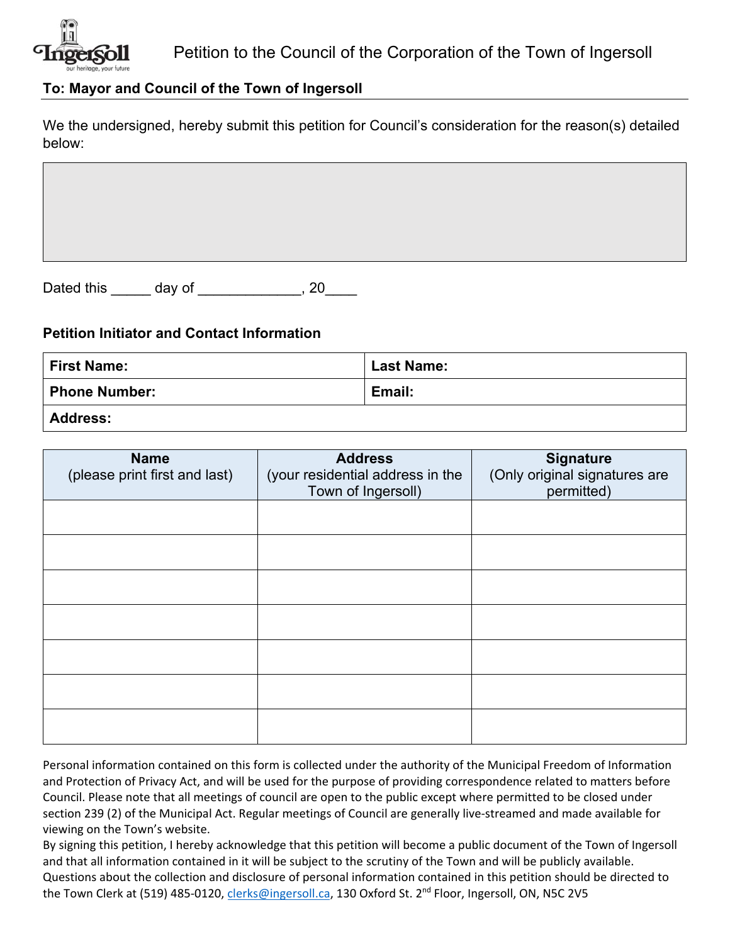

## **To: Mayor and Council of the Town of Ingersoll**

We the undersigned, hereby submit this petition for Council's consideration for the reason(s) detailed below:

Dated this day of the case of the case of the case of the case of the case of the case of the case of the case

#### **Petition Initiator and Contact Information**

| <b>First Name:</b>   | <b>Last Name:</b> |
|----------------------|-------------------|
| <b>Phone Number:</b> | Email:            |
| <b>Address:</b>      |                   |

| <b>Name</b><br>(please print first and last) | <b>Address</b><br>(your residential address in the<br>Town of Ingersoll) | <b>Signature</b><br>(Only original signatures are<br>permitted) |
|----------------------------------------------|--------------------------------------------------------------------------|-----------------------------------------------------------------|
|                                              |                                                                          |                                                                 |
|                                              |                                                                          |                                                                 |
|                                              |                                                                          |                                                                 |
|                                              |                                                                          |                                                                 |
|                                              |                                                                          |                                                                 |
|                                              |                                                                          |                                                                 |
|                                              |                                                                          |                                                                 |

Personal information contained on this form is collected under the authority of the Municipal Freedom of Information and Protection of Privacy Act, and will be used for the purpose of providing correspondence related to matters before Council. Please note that all meetings of council are open to the public except where permitted to be closed under section 239 (2) of the Municipal Act. Regular meetings of Council are generally live-streamed and made available for viewing on the Town's website.

By signing this petition, I hereby acknowledge that this petition will become a public document of the Town of Ingersoll and that all information contained in it will be subject to the scrutiny of the Town and will be publicly available. Questions about the collection and disclosure of personal information contained in this petition should be directed to the Town Clerk at (519) 485-0120, clerks@ingersoll.ca, 130 Oxford St. 2<sup>nd</sup> Floor, Ingersoll, ON, N5C 2V5